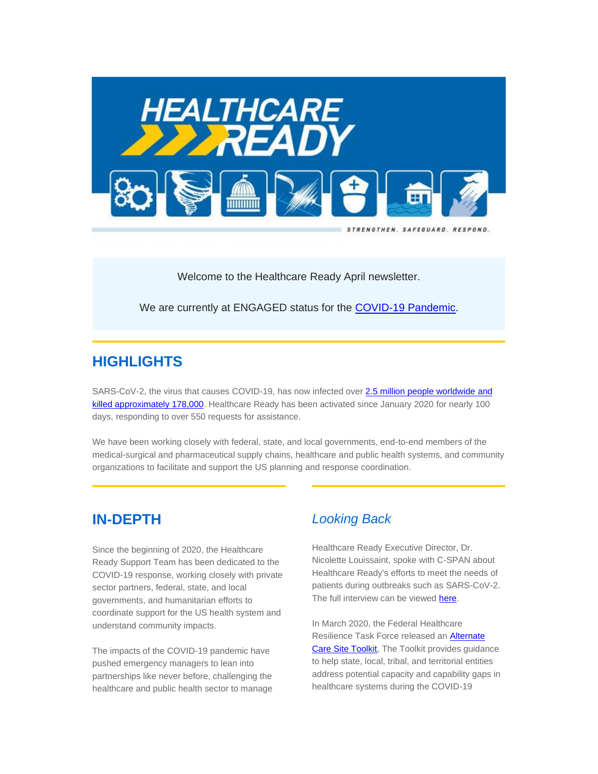

Welcome to the Healthcare Ready April newsletter.

We are currently at ENGAGED status for the [COVID-19 Pandemic.](https://healthcareready.us3.list-manage.com/track/click?u=ec0ab117000fc4f0ca1e213fa&id=81fee1330d&e=388464d30a)

# **HIGHLIGHTS**

SARS-CoV-2, the virus that causes COVID-19, has now infected over 2.5 million people worldwide and [killed approximately 178,000.](https://healthcareready.us3.list-manage.com/track/click?u=ec0ab117000fc4f0ca1e213fa&id=686b03e930&e=388464d30a) Healthcare Ready has been activated since January 2020 for nearly 100 days, responding to over 550 requests for assistance.

We have been working closely with federal, state, and local governments, end-to-end members of the medical-surgical and pharmaceutical supply chains, healthcare and public health systems, and community organizations to facilitate and support the US planning and response coordination.

# **IN-DEPTH**

Since the beginning of 2020, the Healthcare Ready Support Team has been dedicated to the COVID-19 response, working closely with private sector partners, federal, state, and local governments, and humanitarian efforts to coordinate support for the US health system and understand community impacts.

The impacts of the COVID-19 pandemic have pushed emergency managers to lean into partnerships like never before, challenging the healthcare and public health sector to manage

### *Looking Back*

Healthcare Ready Executive Director, Dr. Nicolette Louissaint, spoke with C-SPAN about Healthcare Ready's efforts to meet the needs of patients during outbreaks such as SARS-CoV-2. The full interview can be viewe[d here.](https://healthcareready.us3.list-manage.com/track/click?u=ec0ab117000fc4f0ca1e213fa&id=b5a95a7c2c&e=388464d30a)

In March 2020, the Federal Healthcare Resilience Task Force released a[n Alternate](https://healthcareready.us3.list-manage.com/track/click?u=ec0ab117000fc4f0ca1e213fa&id=6ef8971c53&e=388464d30a)  [Care Site Toolkit,](https://healthcareready.us3.list-manage.com/track/click?u=ec0ab117000fc4f0ca1e213fa&id=6ef8971c53&e=388464d30a) The Toolkit provides guidance to help state, local, tribal, and territorial entities address potential capacity and capability gaps in healthcare systems during the COVID-19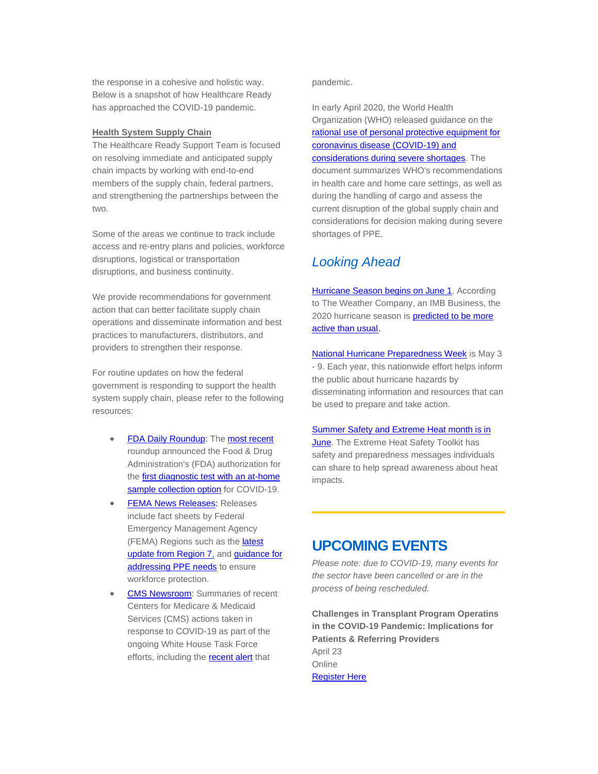the response in a cohesive and holistic way. Below is a snapshot of how Healthcare Ready has approached the COVID-19 pandemic.

#### **Health System Supply Chain**

The Healthcare Ready Support Team is focused on resolving immediate and anticipated supply chain impacts by working with end-to-end members of the supply chain, federal partners, and strengthening the partnerships between the two.

Some of the areas we continue to track include access and re-entry plans and policies, workforce disruptions, logistical or transportation disruptions, and business continuity.

We provide recommendations for government action that can better facilitate supply chain operations and disseminate information and best practices to manufacturers, distributors, and providers to strengthen their response.

For routine updates on how the federal government is responding to support the health system supply chain, please refer to the following resources:

- [FDA Daily Roundup:](https://healthcareready.us3.list-manage.com/track/click?u=ec0ab117000fc4f0ca1e213fa&id=0ebe623956&e=388464d30a) The [most recent](https://healthcareready.us3.list-manage.com/track/click?u=ec0ab117000fc4f0ca1e213fa&id=368613ae57&e=388464d30a) roundup announced the Food & Drug Administration's (FDA) authorization for the first diagnostic test with an at-home [sample collection option](https://healthcareready.us3.list-manage.com/track/click?u=ec0ab117000fc4f0ca1e213fa&id=29716922a4&e=388464d30a) for COVID-19.
- **[FEMA News Releases:](https://healthcareready.us3.list-manage.com/track/click?u=ec0ab117000fc4f0ca1e213fa&id=e1535d1025&e=388464d30a) Releases** include fact sheets by Federal Emergency Management Agency (FEMA) Regions such as the [latest](https://healthcareready.us3.list-manage.com/track/click?u=ec0ab117000fc4f0ca1e213fa&id=b42b944a5d&e=388464d30a)  [update from Region 7,](https://healthcareready.us3.list-manage.com/track/click?u=ec0ab117000fc4f0ca1e213fa&id=b42b944a5d&e=388464d30a) and guidance for [addressing PPE needs](https://healthcareready.us3.list-manage.com/track/click?u=ec0ab117000fc4f0ca1e213fa&id=5395d00f5b&e=388464d30a) to ensure workforce protection.
- **[CMS Newsroom:](https://healthcareready.us3.list-manage.com/track/click?u=ec0ab117000fc4f0ca1e213fa&id=4102b9bf22&e=388464d30a)** Summaries of recent Centers for Medicare & Medicaid Services (CMS) actions taken in response to COVID-19 as part of the ongoing White House Task Force efforts, including th[e recent alert](https://healthcareready.us3.list-manage.com/track/click?u=ec0ab117000fc4f0ca1e213fa&id=afb5753431&e=388464d30a) that

pandemic.

In early April 2020, the World Health Organization (WHO) released guidance on the [rational use of personal protective equipment for](https://healthcareready.us3.list-manage.com/track/click?u=ec0ab117000fc4f0ca1e213fa&id=9141b88b80&e=388464d30a)  [coronavirus disease \(COVID-19\) and](https://healthcareready.us3.list-manage.com/track/click?u=ec0ab117000fc4f0ca1e213fa&id=9141b88b80&e=388464d30a)  [considerations during severe shortages.](https://healthcareready.us3.list-manage.com/track/click?u=ec0ab117000fc4f0ca1e213fa&id=9141b88b80&e=388464d30a) The document summarizes WHO's recommendations in health care and home care settings, as well as during the handling of cargo and assess the current disruption of the global supply chain and considerations for decision making during severe shortages of PPE.

# *Looking Ahead*

**[Hu](https://healthcareready.us3.list-manage.com/track/click?u=ec0ab117000fc4f0ca1e213fa&id=5203277db6&e=388464d30a)rricane Season [begins on June 1.](https://healthcareready.us3.list-manage.com/track/click?u=ec0ab117000fc4f0ca1e213fa&id=b93849cb7f&e=388464d30a)** According to The Weather Company, an IMB Business, the 2020 hurricane season is **predicted to be more** [active than usual.](https://healthcareready.us3.list-manage.com/track/click?u=ec0ab117000fc4f0ca1e213fa&id=eb939b73f7&e=388464d30a)

[National Hurricane Preparedness Week](https://healthcareready.us3.list-manage.com/track/click?u=ec0ab117000fc4f0ca1e213fa&id=7b9b054eae&e=388464d30a) is May 3 - 9. Each year, this nationwide effort helps inform the public about hurricane hazards by disseminating information and resources that can be used to prepare and take action.

#### [Summer Safety and Extreme Heat month is in](https://healthcareready.us3.list-manage.com/track/click?u=ec0ab117000fc4f0ca1e213fa&id=3e541927ec&e=388464d30a)

[June.](https://healthcareready.us3.list-manage.com/track/click?u=ec0ab117000fc4f0ca1e213fa&id=3e541927ec&e=388464d30a) The Extreme Heat Safety Toolkit has safety and preparedness messages individuals can share to help spread awareness about heat impacts.

# **UPCOMING EVENTS**

*Please note: due to COVID-19, many events for the sector have been cancelled or are in the process of being rescheduled.*

**Challenges in Transplant Program Operatins in the COVID-19 Pandemic: Implications for Patients & Referring Providers** April 23 **Online** [Register Here](https://healthcareready.us3.list-manage.com/track/click?u=ec0ab117000fc4f0ca1e213fa&id=14be4b8187&e=388464d30a)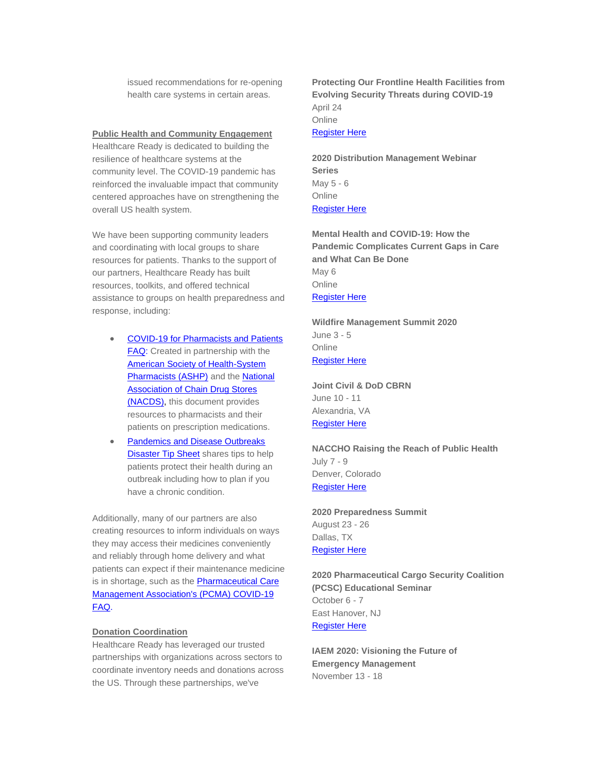issued recommendations for re-opening health care systems in certain areas.

#### **Public Health and Community Engagement**

Healthcare Ready is dedicated to building the resilience of healthcare systems at the community level. The COVID-19 pandemic has reinforced the invaluable impact that community centered approaches have on strengthening the overall US health system.

We have been supporting community leaders and coordinating with local groups to share resources for patients. Thanks to the support of our partners, Healthcare Ready has built resources, toolkits, and offered technical assistance to groups on health preparedness and response, including:

- [COVID-19 for Pharmacists and Patients](https://healthcareready.us3.list-manage.com/track/click?u=ec0ab117000fc4f0ca1e213fa&id=0d1d4d7afd&e=388464d30a)  [FAQ:](https://healthcareready.us3.list-manage.com/track/click?u=ec0ab117000fc4f0ca1e213fa&id=0d1d4d7afd&e=388464d30a) Created in partnership with the American [Society of Health-System](https://healthcareready.us3.list-manage.com/track/click?u=ec0ab117000fc4f0ca1e213fa&id=6052c24e63&e=388464d30a)  [Pharmacists \(ASHP\)](https://healthcareready.us3.list-manage.com/track/click?u=ec0ab117000fc4f0ca1e213fa&id=6052c24e63&e=388464d30a) and the [National](https://healthcareready.us3.list-manage.com/track/click?u=ec0ab117000fc4f0ca1e213fa&id=4641cc9633&e=388464d30a)  Association of Chain [Drug Stores](https://healthcareready.us3.list-manage.com/track/click?u=ec0ab117000fc4f0ca1e213fa&id=4641cc9633&e=388464d30a)  [\(NACDS\),](https://healthcareready.us3.list-manage.com/track/click?u=ec0ab117000fc4f0ca1e213fa&id=4641cc9633&e=388464d30a) this document provides resources to pharmacists and their patients on prescription medications.
- [Pandemics and Disease Outbreaks](https://healthcareready.us3.list-manage.com/track/click?u=ec0ab117000fc4f0ca1e213fa&id=74b09d5d90&e=388464d30a)  **[Disaster Tip Sheet](https://healthcareready.us3.list-manage.com/track/click?u=ec0ab117000fc4f0ca1e213fa&id=74b09d5d90&e=388464d30a)** shares tips to help patients protect their health during an outbreak including how to plan if you have a chronic condition.

Additionally, many of our partners are also creating resources to inform individuals on ways they may access their medicines conveniently and reliably through home delivery and what patients can expect if their maintenance medicine is in shortage, such as the **Pharmaceutical Care** [Management Association's \(PCMA\) COVID-19](https://healthcareready.us3.list-manage.com/track/click?u=ec0ab117000fc4f0ca1e213fa&id=4c17b6ee73&e=388464d30a)  [FAQ.](https://healthcareready.us3.list-manage.com/track/click?u=ec0ab117000fc4f0ca1e213fa&id=4c17b6ee73&e=388464d30a)

#### **Donation Coordination**

Healthcare Ready has leveraged our trusted partnerships with organizations across sectors to coordinate inventory needs and donations across the US. Through these partnerships, we've

**Protecting Our Frontline Health Facilities from Evolving Security Threats during COVID-19** April 24 **Online** [Register Here](https://healthcareready.us3.list-manage.com/track/click?u=ec0ab117000fc4f0ca1e213fa&id=eef266b94a&e=388464d30a)

**2020 Distribution Management Webinar Series** May 5 - 6 **Online** [Register Here](https://healthcareready.us3.list-manage.com/track/click?u=ec0ab117000fc4f0ca1e213fa&id=9ccb71f2e9&e=388464d30a)

**Mental Health and COVID-19: How the Pandemic Complicates Current Gaps in Care and What Can Be Done** May 6 Online [Register Here](https://healthcareready.us3.list-manage.com/track/click?u=ec0ab117000fc4f0ca1e213fa&id=3bfd123b92&e=388464d30a)

**Wildfire Management Summit 2020** June 3 - 5 Online [Register Here](https://healthcareready.us3.list-manage.com/track/click?u=ec0ab117000fc4f0ca1e213fa&id=86ec939ee6&e=388464d30a)

**Joint Civil & DoD CBRN** June 10 - 11 Alexandria, VA [Register Here](https://healthcareready.us3.list-manage.com/track/click?u=ec0ab117000fc4f0ca1e213fa&id=7ed24a4608&e=388464d30a)

**NACCHO Raising the Reach of Public Health** July 7 - 9 Denver, Colorado [Register Here](https://healthcareready.us3.list-manage.com/track/click?u=ec0ab117000fc4f0ca1e213fa&id=0dd7866f62&e=388464d30a)

**2020 Preparedness Summit** August 23 - 26 Dallas, TX [Register Here](https://healthcareready.us3.list-manage.com/track/click?u=ec0ab117000fc4f0ca1e213fa&id=3626915e31&e=388464d30a)

**2020 Pharmaceutical Cargo Security Coalition (PCSC) Educational Seminar** October 6 - 7 East Hanover, NJ [Register Here](https://healthcareready.us3.list-manage.com/track/click?u=ec0ab117000fc4f0ca1e213fa&id=1ddf814b85&e=388464d30a)

**IAEM 2020: Visioning the Future of Emergency Management** November 13 - 18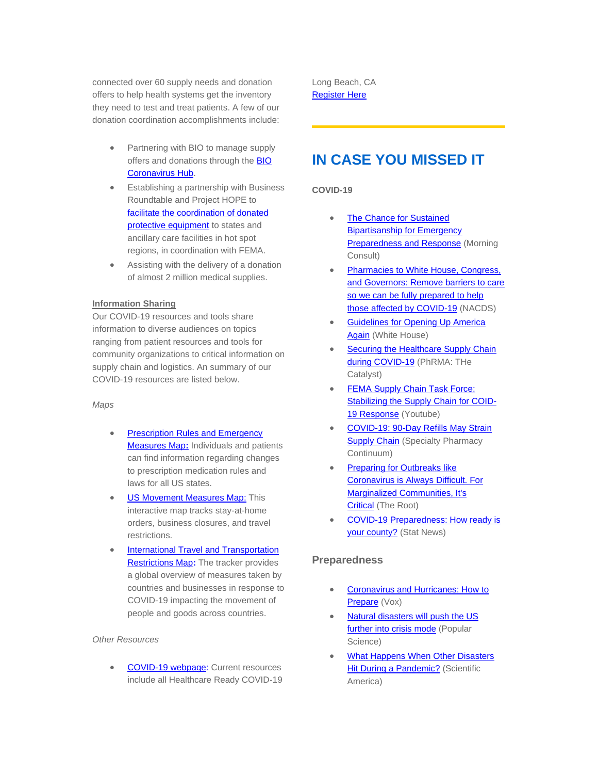connected over 60 supply needs and donation offers to help health systems get the inventory they need to test and treat patients. A few of our donation coordination accomplishments include:

- Partnering with BIO to manage supply offers and donations through th[e BIO](https://healthcareready.us3.list-manage.com/track/click?u=ec0ab117000fc4f0ca1e213fa&id=6656248e48&e=388464d30a)  [Coronavirus Hub.](https://healthcareready.us3.list-manage.com/track/click?u=ec0ab117000fc4f0ca1e213fa&id=6656248e48&e=388464d30a)
- Establishing a partnership with Business Roundtable and Project HOPE to [facilitate the coordination of donated](https://healthcareready.us3.list-manage.com/track/click?u=ec0ab117000fc4f0ca1e213fa&id=46fe6fec78&e=388464d30a)  [protective equipment](https://healthcareready.us3.list-manage.com/track/click?u=ec0ab117000fc4f0ca1e213fa&id=46fe6fec78&e=388464d30a) to states and ancillary care facilities in hot spot regions, in coordination with FEMA.
- Assisting with the delivery of a donation of almost 2 million medical supplies.

### **Information Sharing**

Our COVID-19 resources and tools share information to diverse audiences on topics ranging from patient resources and tools for community organizations to critical information on supply chain and logistics. An summary of our COVID-19 resources are listed below.

#### *Maps*

- **Prescription Rules and Emergency** [Measures](https://healthcareready.us3.list-manage.com/track/click?u=ec0ab117000fc4f0ca1e213fa&id=352f3fb3f1&e=388464d30a) Map**[:](https://healthcareready.us3.list-manage.com/track/click?u=ec0ab117000fc4f0ca1e213fa&id=d40b3aef22&e=388464d30a)** Individuals and patients can find information regarding changes to prescription medication rules and laws for all US states.
- **[U](https://healthcareready.us3.list-manage.com/track/click?u=ec0ab117000fc4f0ca1e213fa&id=e6a81370a0&e=388464d30a)[S Movement Measures Map](https://healthcareready.us3.list-manage.com/track/click?u=ec0ab117000fc4f0ca1e213fa&id=b00fb5f6a3&e=388464d30a)[:](https://healthcareready.us3.list-manage.com/track/click?u=ec0ab117000fc4f0ca1e213fa&id=467cb82a7f&e=388464d30a) This** interactive map tracks stay-at-home orders, business closures, and travel restrictions.
- [International Travel and Transportation](https://healthcareready.us3.list-manage.com/track/click?u=ec0ab117000fc4f0ca1e213fa&id=1d49f67392&e=388464d30a)  [Restrictions Map](https://healthcareready.us3.list-manage.com/track/click?u=ec0ab117000fc4f0ca1e213fa&id=1d49f67392&e=388464d30a)**:** The tracker provides a global overview of measures taken by countries and businesses in response to COVID-19 impacting the movement of people and goods across countries.

### *Other Resources*

• [COVID-19 webpage:](https://healthcareready.us3.list-manage.com/track/click?u=ec0ab117000fc4f0ca1e213fa&id=9e5210ed74&e=388464d30a) Current resources include all Healthcare Ready COVID-19 Long Beach, CA [Register Here](https://healthcareready.us3.list-manage.com/track/click?u=ec0ab117000fc4f0ca1e213fa&id=f6e2b31f83&e=388464d30a)

# **IN CASE YOU MISSED IT**

### **COVID-19**

- [T](https://healthcareready.us3.list-manage.com/track/click?u=ec0ab117000fc4f0ca1e213fa&id=1038385957&e=388464d30a)[he Chance for Sustained](https://healthcareready.us3.list-manage.com/track/click?u=ec0ab117000fc4f0ca1e213fa&id=04aa0cbcfc&e=388464d30a)  [Bipartisanship for Emergency](https://healthcareready.us3.list-manage.com/track/click?u=ec0ab117000fc4f0ca1e213fa&id=04aa0cbcfc&e=388464d30a)  [Preparedness and Response](https://healthcareready.us3.list-manage.com/track/click?u=ec0ab117000fc4f0ca1e213fa&id=04aa0cbcfc&e=388464d30a) (Morning Consult)
- Pharmacies to White House, Congress, [and Governors: Remove barriers to care](https://healthcareready.us3.list-manage.com/track/click?u=ec0ab117000fc4f0ca1e213fa&id=4ddcd60a0c&e=388464d30a)  so we can be fully prepared to help [those affected by COVID-19](https://healthcareready.us3.list-manage.com/track/click?u=ec0ab117000fc4f0ca1e213fa&id=4ddcd60a0c&e=388464d30a) (NACDS)
- [Guidelines for Opening Up America](https://healthcareready.us3.list-manage.com/track/click?u=ec0ab117000fc4f0ca1e213fa&id=1aebd5e233&e=388464d30a)  [Again](https://healthcareready.us3.list-manage.com/track/click?u=ec0ab117000fc4f0ca1e213fa&id=1aebd5e233&e=388464d30a) (White House)
- [S](https://healthcareready.us3.list-manage.com/track/click?u=ec0ab117000fc4f0ca1e213fa&id=80299731d7&e=388464d30a)ecuring the Healthcare Supply Chain [during COVID-19](https://healthcareready.us3.list-manage.com/track/click?u=ec0ab117000fc4f0ca1e213fa&id=7a7487258c&e=388464d30a) (PhRMA: THe Catalyst)
- FEMA Supply Chain Task Force: [Stabilizing the Supply Chain for COID-](https://healthcareready.us3.list-manage.com/track/click?u=ec0ab117000fc4f0ca1e213fa&id=9d0a41c9ab&e=388464d30a)[19 Response](https://healthcareready.us3.list-manage.com/track/click?u=ec0ab117000fc4f0ca1e213fa&id=9d0a41c9ab&e=388464d30a) (Youtube)
- [C](https://healthcareready.us3.list-manage.com/track/click?u=ec0ab117000fc4f0ca1e213fa&id=4b97a1e7fc&e=388464d30a)OVID-19: 90-Day Refills May Strain **[Supply Chain](https://healthcareready.us3.list-manage.com/track/click?u=ec0ab117000fc4f0ca1e213fa&id=49134e7bfe&e=388464d30a)** (Specialty Pharmacy Continuum)
- [Preparing for Outbreaks like](https://healthcareready.us3.list-manage.com/track/click?u=ec0ab117000fc4f0ca1e213fa&id=fe636f5d8b&e=388464d30a)  [Coronavirus is Always Difficult. For](https://healthcareready.us3.list-manage.com/track/click?u=ec0ab117000fc4f0ca1e213fa&id=fe636f5d8b&e=388464d30a)  [Marginalized Communities, It's](https://healthcareready.us3.list-manage.com/track/click?u=ec0ab117000fc4f0ca1e213fa&id=fe636f5d8b&e=388464d30a)  [Critical](https://healthcareready.us3.list-manage.com/track/click?u=ec0ab117000fc4f0ca1e213fa&id=fe636f5d8b&e=388464d30a) (The Root)
- COVID-19 Preparedness: How ready is [your county?](https://healthcareready.us3.list-manage.com/track/click?u=ec0ab117000fc4f0ca1e213fa&id=bcdd34ae38&e=388464d30a) (Stat News)

### **Preparedness**

- [Coronavirus and Hurricanes: How to](https://healthcareready.us3.list-manage.com/track/click?u=ec0ab117000fc4f0ca1e213fa&id=0efc382a36&e=388464d30a)  [Prepare](https://healthcareready.us3.list-manage.com/track/click?u=ec0ab117000fc4f0ca1e213fa&id=0efc382a36&e=388464d30a) (Vox)
- [Natural disasters will push the US](https://healthcareready.us3.list-manage.com/track/click?u=ec0ab117000fc4f0ca1e213fa&id=f256f89b77&e=388464d30a)  [further into crisis mode](https://healthcareready.us3.list-manage.com/track/click?u=ec0ab117000fc4f0ca1e213fa&id=f256f89b77&e=388464d30a) (Popular Science)
- [What Happens When Other Disasters](https://healthcareready.us3.list-manage.com/track/click?u=ec0ab117000fc4f0ca1e213fa&id=79d35e7210&e=388464d30a)  [Hit During a Pandemic?](https://healthcareready.us3.list-manage.com/track/click?u=ec0ab117000fc4f0ca1e213fa&id=79d35e7210&e=388464d30a) (Scientific America)